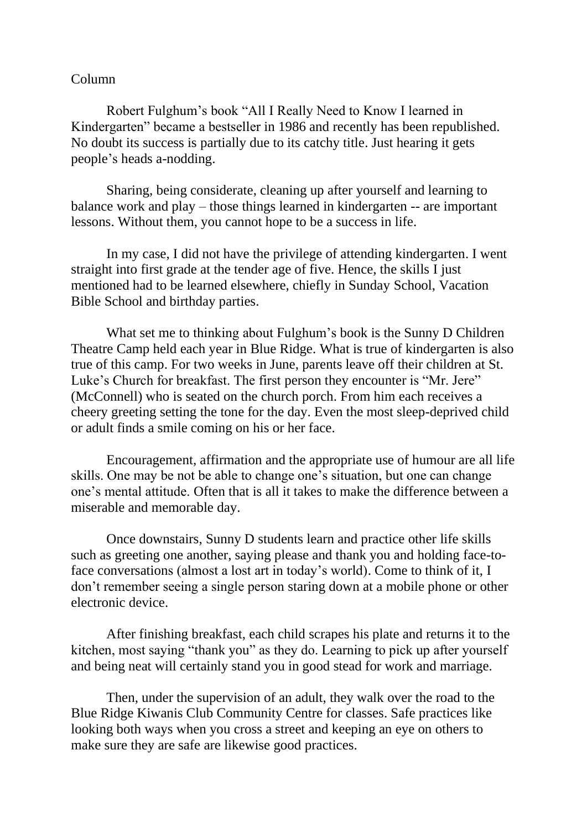## Column

Robert Fulghum's book "All I Really Need to Know I learned in Kindergarten" became a bestseller in 1986 and recently has been republished. No doubt its success is partially due to its catchy title. Just hearing it gets people's heads a-nodding.

Sharing, being considerate, cleaning up after yourself and learning to balance work and play – those things learned in kindergarten -- are important lessons. Without them, you cannot hope to be a success in life.

In my case, I did not have the privilege of attending kindergarten. I went straight into first grade at the tender age of five. Hence, the skills I just mentioned had to be learned elsewhere, chiefly in Sunday School, Vacation Bible School and birthday parties.

What set me to thinking about Fulghum's book is the Sunny D Children Theatre Camp held each year in Blue Ridge. What is true of kindergarten is also true of this camp. For two weeks in June, parents leave off their children at St. Luke's Church for breakfast. The first person they encounter is "Mr. Jere" (McConnell) who is seated on the church porch. From him each receives a cheery greeting setting the tone for the day. Even the most sleep-deprived child or adult finds a smile coming on his or her face.

Encouragement, affirmation and the appropriate use of humour are all life skills. One may be not be able to change one's situation, but one can change one's mental attitude. Often that is all it takes to make the difference between a miserable and memorable day.

Once downstairs, Sunny D students learn and practice other life skills such as greeting one another, saying please and thank you and holding face-toface conversations (almost a lost art in today's world). Come to think of it, I don't remember seeing a single person staring down at a mobile phone or other electronic device.

After finishing breakfast, each child scrapes his plate and returns it to the kitchen, most saying "thank you" as they do. Learning to pick up after yourself and being neat will certainly stand you in good stead for work and marriage.

Then, under the supervision of an adult, they walk over the road to the Blue Ridge Kiwanis Club Community Centre for classes. Safe practices like looking both ways when you cross a street and keeping an eye on others to make sure they are safe are likewise good practices.